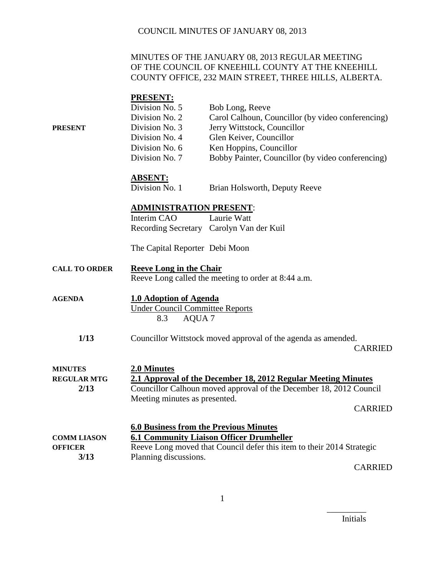#### MINUTES OF THE JANUARY 08, 2013 REGULAR MEETING OF THE COUNCIL OF KNEEHILL COUNTY AT THE KNEEHILL COUNTY OFFICE, 232 MAIN STREET, THREE HILLS, ALBERTA.

|                                | <b>PRESENT:</b>                                                    |                                                                                 |
|--------------------------------|--------------------------------------------------------------------|---------------------------------------------------------------------------------|
|                                | Division No. 5                                                     | Bob Long, Reeve                                                                 |
|                                | Division No. 2                                                     | Carol Calhoun, Councillor (by video conferencing)                               |
| <b>PRESENT</b>                 | Division No. 3                                                     | Jerry Wittstock, Councillor                                                     |
|                                | Division No. 4                                                     | Glen Keiver, Councillor                                                         |
|                                | Division No. 6                                                     | Ken Hoppins, Councillor                                                         |
|                                | Division No. 7                                                     | Bobby Painter, Councillor (by video conferencing)                               |
|                                |                                                                    |                                                                                 |
|                                | <u>ABSENT:</u><br>Division No. 1                                   | Brian Holsworth, Deputy Reeve                                                   |
|                                |                                                                    |                                                                                 |
| <b>ADMINISTRATION PRESENT:</b> |                                                                    |                                                                                 |
|                                | Interim CAO                                                        | Laurie Watt                                                                     |
|                                |                                                                    | Recording Secretary Carolyn Van der Kuil                                        |
|                                | The Capital Reporter Debi Moon                                     |                                                                                 |
|                                |                                                                    |                                                                                 |
| <b>CALL TO ORDER</b>           | <b>Reeve Long in the Chair</b>                                     | Reeve Long called the meeting to order at 8:44 a.m.                             |
| <b>AGENDA</b>                  | 1.0 Adoption of Agenda                                             |                                                                                 |
|                                | <b>Under Council Committee Reports</b><br>AQUA <sub>7</sub><br>8.3 |                                                                                 |
|                                |                                                                    |                                                                                 |
| 1/13                           |                                                                    | Councillor Wittstock moved approval of the agenda as amended.<br><b>CARRIED</b> |
|                                |                                                                    |                                                                                 |
| <b>MINUTES</b>                 | 2.0 Minutes                                                        |                                                                                 |
| <b>REGULAR MTG</b>             |                                                                    | 2.1 Approval of the December 18, 2012 Regular Meeting Minutes                   |
| 2/13                           |                                                                    | Councillor Calhoun moved approval of the December 18, 2012 Council              |
|                                | Meeting minutes as presented.                                      |                                                                                 |
|                                |                                                                    | <b>CARRIED</b>                                                                  |
|                                | <b>6.0 Business from the Previous Minutes</b>                      |                                                                                 |
| <b>COMM LIASON</b>             |                                                                    | <b>6.1 Community Liaison Officer Drumheller</b>                                 |
| <b>OFFICER</b>                 |                                                                    | Reeve Long moved that Council defer this item to their 2014 Strategic           |
| 3/13                           | Planning discussions.                                              |                                                                                 |
|                                |                                                                    | <b>CARRIED</b>                                                                  |

Initials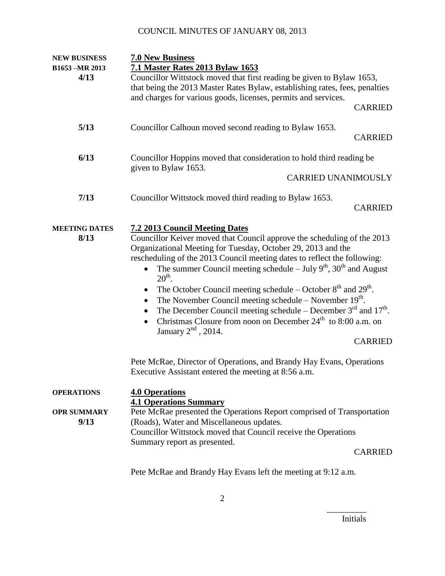| <b>NEW BUSINESS</b>                             | <b>7.0 New Business</b>                                                                                                                                                                                                                                                                                                                                                                                                                                                                                                                                                                                                                                                                                                                                                                                        |                |
|-------------------------------------------------|----------------------------------------------------------------------------------------------------------------------------------------------------------------------------------------------------------------------------------------------------------------------------------------------------------------------------------------------------------------------------------------------------------------------------------------------------------------------------------------------------------------------------------------------------------------------------------------------------------------------------------------------------------------------------------------------------------------------------------------------------------------------------------------------------------------|----------------|
| B1653 -MR 2013<br>4/13                          | 7.1 Master Rates 2013 Bylaw 1653<br>Councillor Wittstock moved that first reading be given to Bylaw 1653,<br>that being the 2013 Master Rates Bylaw, establishing rates, fees, penalties<br>and charges for various goods, licenses, permits and services.                                                                                                                                                                                                                                                                                                                                                                                                                                                                                                                                                     |                |
|                                                 |                                                                                                                                                                                                                                                                                                                                                                                                                                                                                                                                                                                                                                                                                                                                                                                                                | <b>CARRIED</b> |
| 5/13                                            | Councillor Calhoun moved second reading to Bylaw 1653.                                                                                                                                                                                                                                                                                                                                                                                                                                                                                                                                                                                                                                                                                                                                                         | <b>CARRIED</b> |
| 6/13                                            | Councillor Hoppins moved that consideration to hold third reading be<br>given to Bylaw 1653.                                                                                                                                                                                                                                                                                                                                                                                                                                                                                                                                                                                                                                                                                                                   |                |
|                                                 | <b>CARRIED UNANIMOUSLY</b>                                                                                                                                                                                                                                                                                                                                                                                                                                                                                                                                                                                                                                                                                                                                                                                     |                |
| 7/13                                            | Councillor Wittstock moved third reading to Bylaw 1653.                                                                                                                                                                                                                                                                                                                                                                                                                                                                                                                                                                                                                                                                                                                                                        | <b>CARRIED</b> |
| <b>MEETING DATES</b><br>8/13                    | <b>7.2 2013 Council Meeting Dates</b><br>Councillor Keiver moved that Council approve the scheduling of the 2013<br>Organizational Meeting for Tuesday, October 29, 2013 and the<br>rescheduling of the 2013 Council meeting dates to reflect the following:<br>The summer Council meeting schedule – July $9th$ , $30th$ and August<br>$20th$ .<br>The October Council meeting schedule – October $8th$ and $29th$ .<br>$\bullet$<br>The November Council meeting schedule – November $19th$ .<br>The December Council meeting schedule – December $3rd$ and $17th$ .<br>Christmas Closure from noon on December $24th$ to 8:00 a.m. on<br>$\bullet$<br>January $2nd$ , 2014.<br>Pete McRae, Director of Operations, and Brandy Hay Evans, Operations<br>Executive Assistant entered the meeting at 8:56 a.m. | <b>CARRIED</b> |
| <b>OPERATIONS</b><br><b>OPR SUMMARY</b><br>9/13 | <b>4.0 Operations</b><br><b>4.1 Operations Summary</b><br>Pete McRae presented the Operations Report comprised of Transportation<br>(Roads), Water and Miscellaneous updates.<br>Councillor Wittstock moved that Council receive the Operations<br>Summary report as presented.                                                                                                                                                                                                                                                                                                                                                                                                                                                                                                                                | <b>CARRIED</b> |

Pete McRae and Brandy Hay Evans left the meeting at 9:12 a.m.

Initials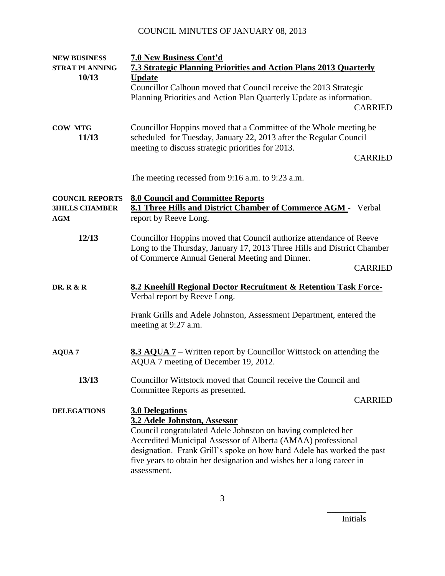| <b>NEW BUSINESS</b>                                           | <b>7.0 New Business Cont'd</b>                                                                                                                                                                                     |  |  |
|---------------------------------------------------------------|--------------------------------------------------------------------------------------------------------------------------------------------------------------------------------------------------------------------|--|--|
| <b>STRAT PLANNING</b>                                         | <b>7.3 Strategic Planning Priorities and Action Plans 2013 Quarterly</b>                                                                                                                                           |  |  |
| 10/13                                                         | <b>Update</b>                                                                                                                                                                                                      |  |  |
|                                                               | Councillor Calhoun moved that Council receive the 2013 Strategic                                                                                                                                                   |  |  |
|                                                               | Planning Priorities and Action Plan Quarterly Update as information.                                                                                                                                               |  |  |
|                                                               | <b>CARRIED</b>                                                                                                                                                                                                     |  |  |
| <b>COW MTG</b><br>11/13                                       | Councillor Hoppins moved that a Committee of the Whole meeting be<br>scheduled for Tuesday, January 22, 2013 after the Regular Council<br>meeting to discuss strategic priorities for 2013.                        |  |  |
|                                                               | <b>CARRIED</b>                                                                                                                                                                                                     |  |  |
|                                                               | The meeting recessed from 9:16 a.m. to 9:23 a.m.                                                                                                                                                                   |  |  |
| <b>COUNCIL REPORTS</b><br><b>3HILLS CHAMBER</b><br><b>AGM</b> | <b>8.0 Council and Committee Reports</b><br>8.1 Three Hills and District Chamber of Commerce AGM - Verbal<br>report by Reeve Long.                                                                                 |  |  |
| 12/13                                                         | Councillor Hoppins moved that Council authorize attendance of Reeve<br>Long to the Thursday, January 17, 2013 Three Hills and District Chamber<br>of Commerce Annual General Meeting and Dinner.<br><b>CARRIED</b> |  |  |
|                                                               |                                                                                                                                                                                                                    |  |  |
| <b>DR. R &amp; R</b>                                          | 8.2 Kneehill Regional Doctor Recruitment & Retention Task Force-<br>Verbal report by Reeve Long.                                                                                                                   |  |  |
|                                                               | Frank Grills and Adele Johnston, Assessment Department, entered the<br>meeting at 9:27 a.m.                                                                                                                        |  |  |
| <b>AQUA 7</b>                                                 | <b>8.3 AQUA 7</b> – Written report by Councillor Wittstock on attending the<br>AQUA 7 meeting of December 19, 2012.                                                                                                |  |  |
| 13/13                                                         | Councillor Wittstock moved that Council receive the Council and<br>Committee Reports as presented.                                                                                                                 |  |  |
|                                                               | <b>CARRIED</b>                                                                                                                                                                                                     |  |  |
| <b>DELEGATIONS</b>                                            | <b>3.0 Delegations</b>                                                                                                                                                                                             |  |  |
|                                                               | 3.2 Adele Johnston, Assessor                                                                                                                                                                                       |  |  |
|                                                               | Council congratulated Adele Johnston on having completed her                                                                                                                                                       |  |  |
|                                                               | Accredited Municipal Assessor of Alberta (AMAA) professional                                                                                                                                                       |  |  |
|                                                               | designation. Frank Grill's spoke on how hard Adele has worked the past                                                                                                                                             |  |  |
|                                                               | five years to obtain her designation and wishes her a long career in<br>assessment.                                                                                                                                |  |  |

Initials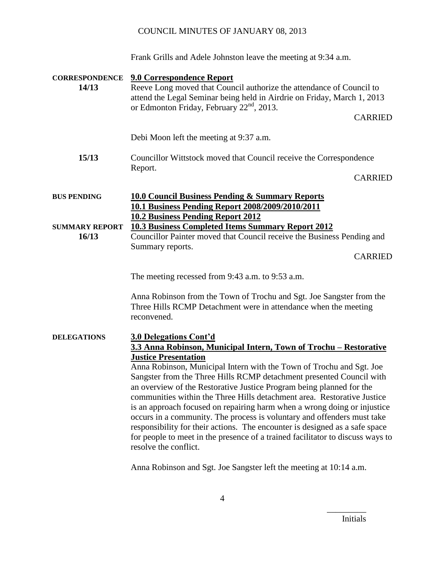Frank Grills and Adele Johnston leave the meeting at 9:34 a.m.

| <b>CORRESPONDENCE</b><br>14/13 | <b>9.0 Correspondence Report</b><br>Reeve Long moved that Council authorize the attendance of Council to<br>attend the Legal Seminar being held in Airdrie on Friday, March 1, 2013<br>or Edmonton Friday, February 22 <sup>nd</sup> , 2013.                                                                                                                                                                                                                                                                                                                                                                                                                                                                                                                                          |  |
|--------------------------------|---------------------------------------------------------------------------------------------------------------------------------------------------------------------------------------------------------------------------------------------------------------------------------------------------------------------------------------------------------------------------------------------------------------------------------------------------------------------------------------------------------------------------------------------------------------------------------------------------------------------------------------------------------------------------------------------------------------------------------------------------------------------------------------|--|
|                                | <b>CARRIED</b>                                                                                                                                                                                                                                                                                                                                                                                                                                                                                                                                                                                                                                                                                                                                                                        |  |
|                                | Debi Moon left the meeting at 9:37 a.m.                                                                                                                                                                                                                                                                                                                                                                                                                                                                                                                                                                                                                                                                                                                                               |  |
| 15/13                          | Councillor Wittstock moved that Council receive the Correspondence<br>Report.                                                                                                                                                                                                                                                                                                                                                                                                                                                                                                                                                                                                                                                                                                         |  |
|                                | <b>CARRIED</b>                                                                                                                                                                                                                                                                                                                                                                                                                                                                                                                                                                                                                                                                                                                                                                        |  |
| <b>BUS PENDING</b>             | <b>10.0 Council Business Pending &amp; Summary Reports</b><br>10.1 Business Pending Report 2008/2009/2010/2011                                                                                                                                                                                                                                                                                                                                                                                                                                                                                                                                                                                                                                                                        |  |
| <b>SUMMARY REPORT</b><br>16/13 | <b>10.2 Business Pending Report 2012</b><br><b>10.3 Business Completed Items Summary Report 2012</b><br>Councillor Painter moved that Council receive the Business Pending and<br>Summary reports.<br><b>CARRIED</b>                                                                                                                                                                                                                                                                                                                                                                                                                                                                                                                                                                  |  |
|                                | The meeting recessed from 9:43 a.m. to 9:53 a.m.                                                                                                                                                                                                                                                                                                                                                                                                                                                                                                                                                                                                                                                                                                                                      |  |
|                                | Anna Robinson from the Town of Trochu and Sgt. Joe Sangster from the<br>Three Hills RCMP Detachment were in attendance when the meeting<br>reconvened.                                                                                                                                                                                                                                                                                                                                                                                                                                                                                                                                                                                                                                |  |
| <b>DELEGATIONS</b>             | <b>3.0 Delegations Cont'd</b><br>3.3 Anna Robinson, Municipal Intern, Town of Trochu - Restorative<br><b>Justice Presentation</b><br>Anna Robinson, Municipal Intern with the Town of Trochu and Sgt. Joe<br>Sangster from the Three Hills RCMP detachment presented Council with<br>an overview of the Restorative Justice Program being planned for the<br>communities within the Three Hills detachment area. Restorative Justice<br>is an approach focused on repairing harm when a wrong doing or injustice<br>occurs in a community. The process is voluntary and offenders must take<br>responsibility for their actions. The encounter is designed as a safe space<br>for people to meet in the presence of a trained facilitator to discuss ways to<br>resolve the conflict. |  |

Anna Robinson and Sgt. Joe Sangster left the meeting at 10:14 a.m.

Initials